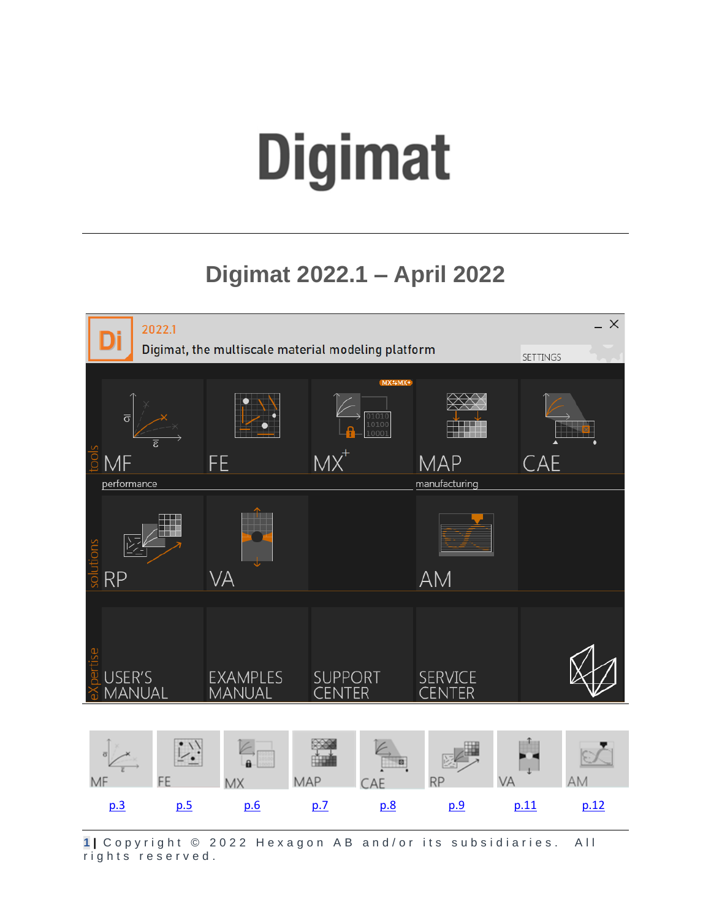# <span id="page-0-0"></span>**Digimat**

# **Digimat 2022.1 – April 2022**



1 | Copyright © 2022 Hexagon AB and/or its subsidiaries. All rights reserved.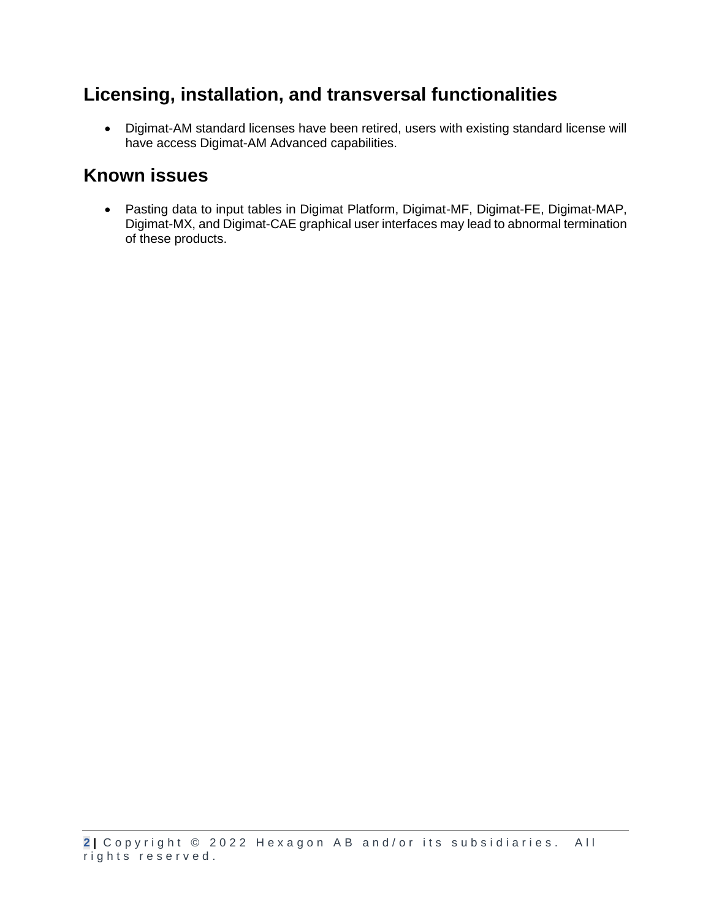# **Licensing, installation, and transversal functionalities**

• Digimat-AM standard licenses have been retired, users with existing standard license will have access Digimat-AM Advanced capabilities.

#### **Known issues**

• Pasting data to input tables in Digimat Platform, Digimat-MF, Digimat-FE, Digimat-MAP, Digimat-MX, and Digimat-CAE graphical user interfaces may lead to abnormal termination of these products.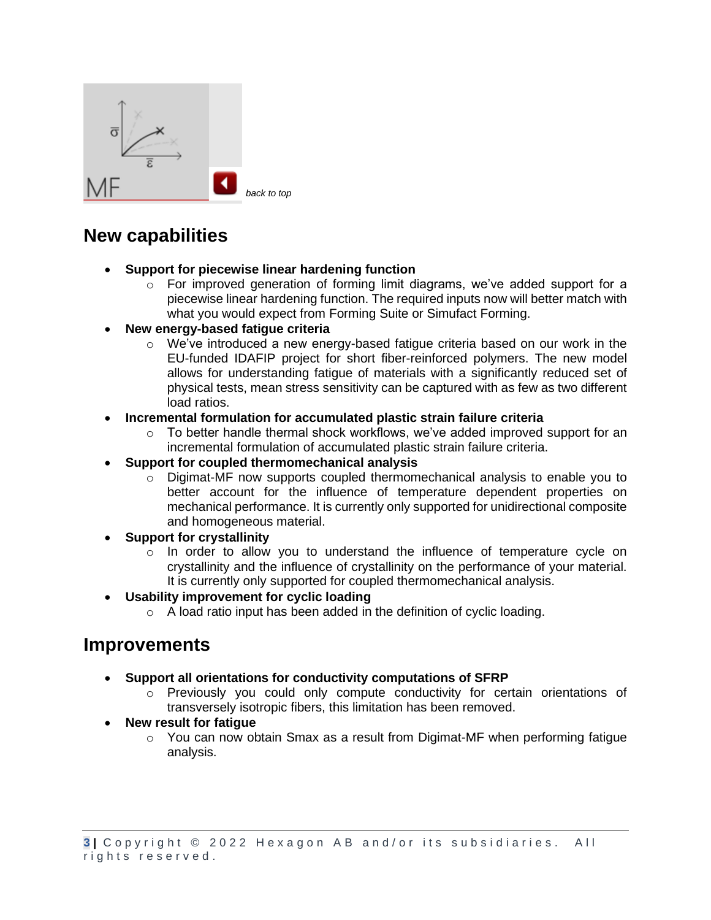<span id="page-2-0"></span>

- **Support for piecewise linear hardening function**
	- $\circ$  For improved generation of forming limit diagrams, we've added support for a piecewise linear hardening function. The required inputs now will better match with what you would expect from Forming Suite or Simufact Forming.
- **New energy-based fatigue criteria**
	- $\circ$  We've introduced a new energy-based fatigue criteria based on our work in the EU-funded IDAFIP project for short fiber-reinforced polymers. The new model allows for understanding fatigue of materials with a significantly reduced set of physical tests, mean stress sensitivity can be captured with as few as two different load ratios.

#### • **Incremental formulation for accumulated plastic strain failure criteria**

- o To better handle thermal shock workflows, we've added improved support for an incremental formulation of accumulated plastic strain failure criteria.
- **Support for coupled thermomechanical analysis**
	- $\circ$  Digimat-MF now supports coupled thermomechanical analysis to enable you to better account for the influence of temperature dependent properties on mechanical performance. It is currently only supported for unidirectional composite and homogeneous material.
- **Support for crystallinity**
	- $\circ$  In order to allow you to understand the influence of temperature cycle on crystallinity and the influence of crystallinity on the performance of your material. It is currently only supported for coupled thermomechanical analysis.
- **Usability improvement for cyclic loading**
	- o A load ratio input has been added in the definition of cyclic loading.

- **Support all orientations for conductivity computations of SFRP**
	- $\circ$  Previously you could only compute conductivity for certain orientations of transversely isotropic fibers, this limitation has been removed.
- **New result for fatigue**
	- $\circ$  You can now obtain Smax as a result from Digimat-MF when performing fatigue analysis.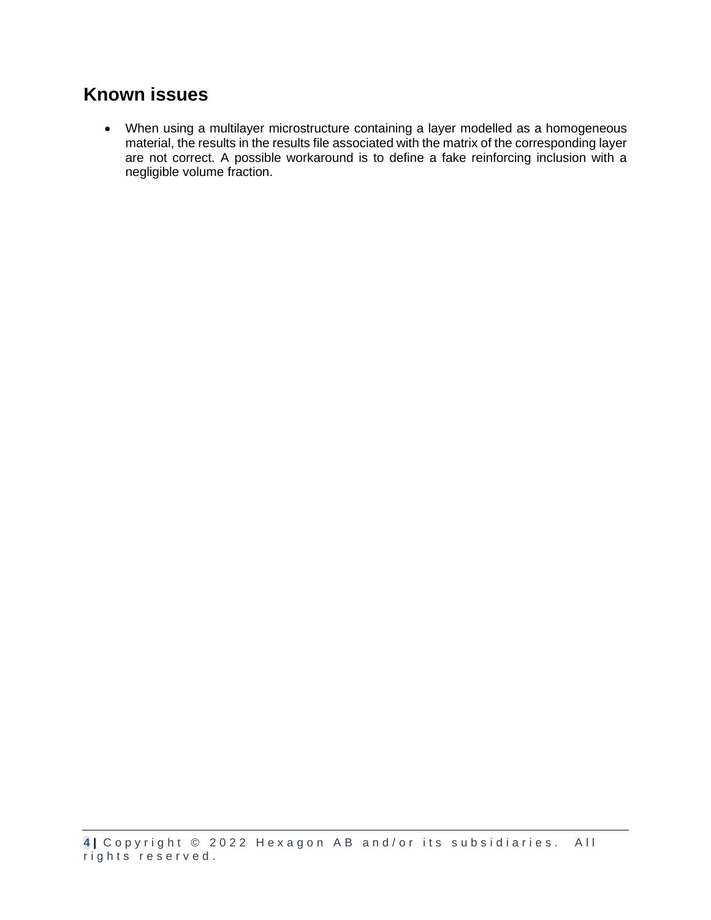### **Known issues**

• When using a multilayer microstructure containing a layer modelled as a homogeneous material, the results in the results file associated with the matrix of the corresponding layer are not correct. A possible workaround is to define a fake reinforcing inclusion with a negligible volume fraction.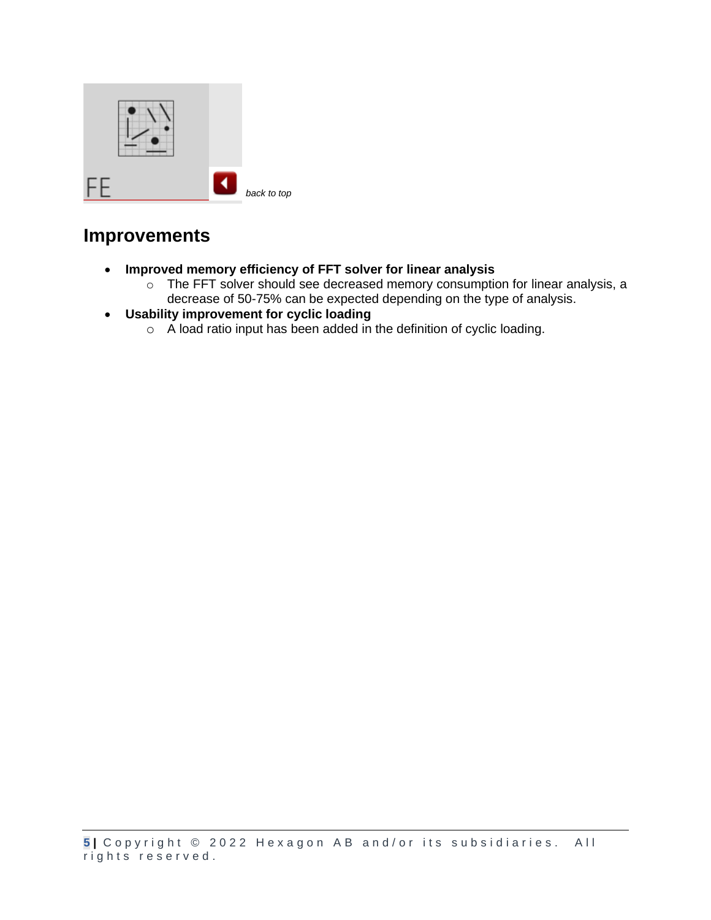<span id="page-4-0"></span>

- **Improved memory efficiency of FFT solver for linear analysis**
	- o The FFT solver should see decreased memory consumption for linear analysis, a decrease of 50-75% can be expected depending on the type of analysis.
- **Usability improvement for cyclic loading**
	- o A load ratio input has been added in the definition of cyclic loading.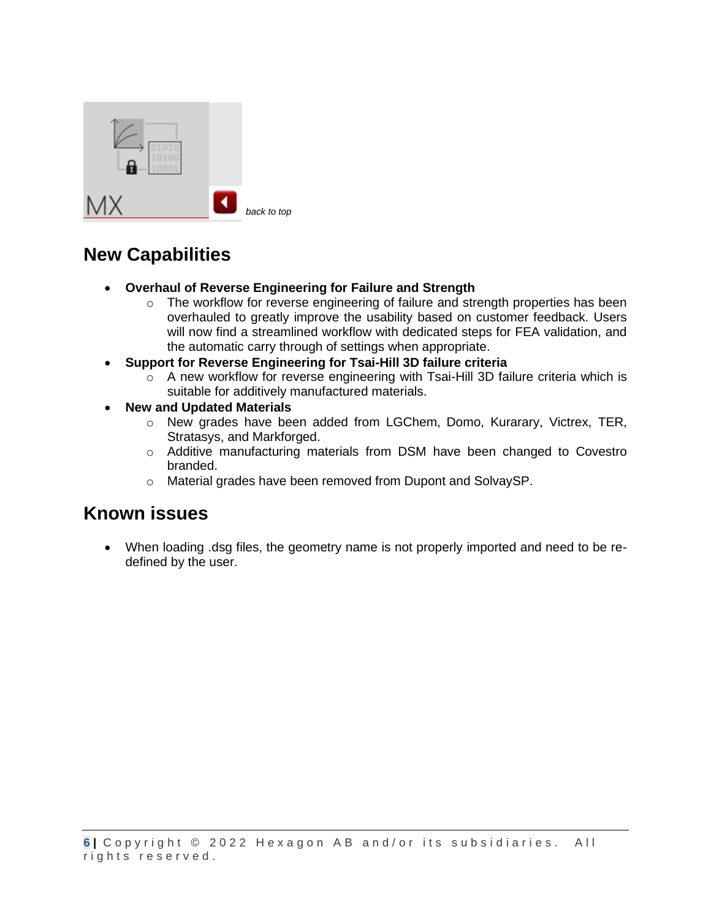<span id="page-5-0"></span>

- **Overhaul of Reverse Engineering for Failure and Strength**
	- $\circ$  The workflow for reverse engineering of failure and strength properties has been overhauled to greatly improve the usability based on customer feedback. Users will now find a streamlined workflow with dedicated steps for FEA validation, and the automatic carry through of settings when appropriate.
- **Support for Reverse Engineering for Tsai-Hill 3D failure criteria**
	- o A new workflow for reverse engineering with Tsai-Hill 3D failure criteria which is suitable for additively manufactured materials.
- **New and Updated Materials**
	- o New grades have been added from LGChem, Domo, Kurarary, Victrex, TER, Stratasys, and Markforged.
	- o Additive manufacturing materials from DSM have been changed to Covestro branded.
	- o Material grades have been removed from Dupont and SolvaySP.

#### **Known issues**

<span id="page-5-1"></span>• When loading .dsg files, the geometry name is not properly imported and need to be redefined by the user.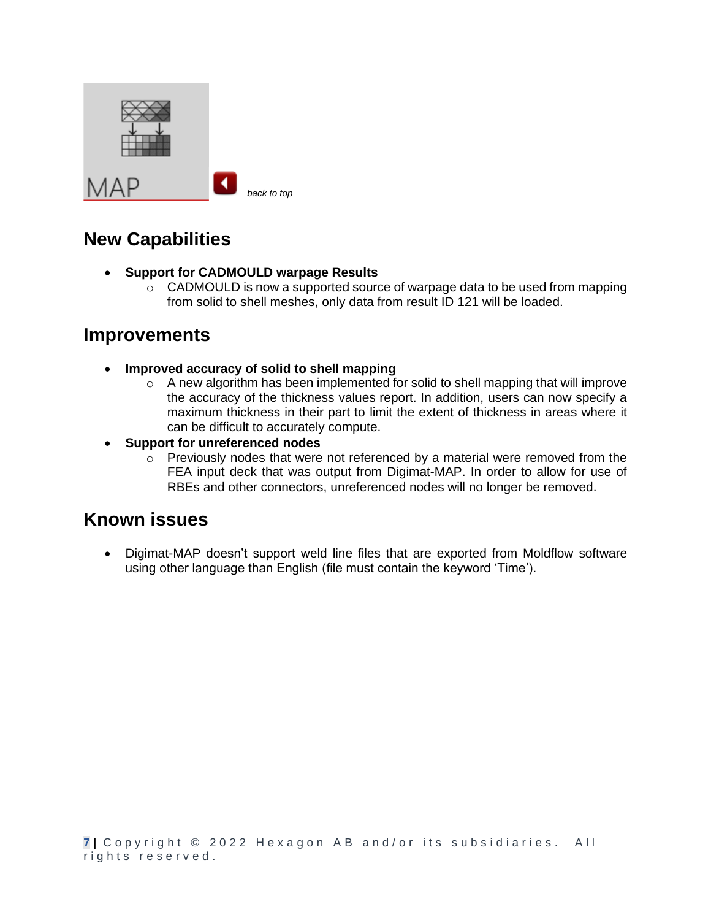| ┘ |  |
|---|--|

*[back to top](#page-0-0)*

# **New Capabilities**

- **Support for CADMOULD warpage Results**
	- o CADMOULD is now a supported source of warpage data to be used from mapping from solid to shell meshes, only data from result ID 121 will be loaded.

#### **Improvements**

- **Improved accuracy of solid to shell mapping**
	- $\circ$  A new algorithm has been implemented for solid to shell mapping that will improve the accuracy of the thickness values report. In addition, users can now specify a maximum thickness in their part to limit the extent of thickness in areas where it can be difficult to accurately compute.
- **Support for unreferenced nodes**
	- $\circ$  Previously nodes that were not referenced by a material were removed from the FEA input deck that was output from Digimat-MAP. In order to allow for use of RBEs and other connectors, unreferenced nodes will no longer be removed.

#### **Known issues**

• Digimat-MAP doesn't support weld line files that are exported from Moldflow software using other language than English (file must contain the keyword 'Time').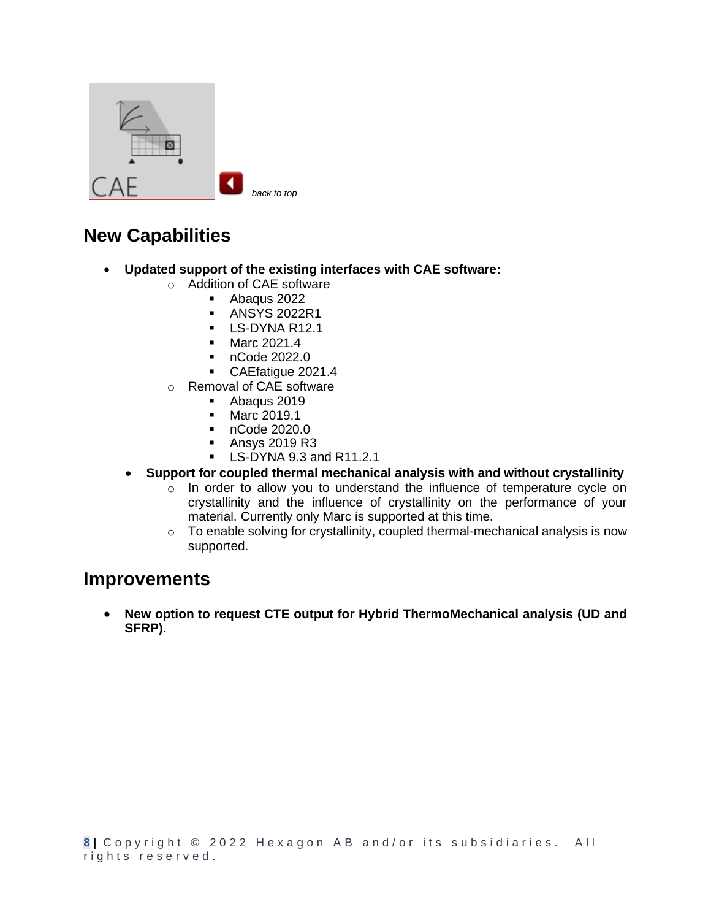<span id="page-7-0"></span>

- **Updated support of the existing interfaces with CAE software:**
	- o Addition of CAE software
		- Abaqus 2022
			- ANSYS 2022R1
			- LS-DYNA R12.1
			- Marc 2021.4
			- nCode 2022.0
			- CAEfatigue 2021.4
	- o Removal of CAE software
		- Abaqus 2019
		- Marc 2019.1
		- nCode 2020.0
		- Ansys 2019 R3
		- LS-DYNA 9.3 and R11.2.1
	- **Support for coupled thermal mechanical analysis with and without crystallinity**
		- $\circ$  In order to allow you to understand the influence of temperature cycle on crystallinity and the influence of crystallinity on the performance of your material. Currently only Marc is supported at this time.
		- o To enable solving for crystallinity, coupled thermal-mechanical analysis is now supported.

#### **Improvements**

• **New option to request CTE output for Hybrid ThermoMechanical analysis (UD and SFRP).**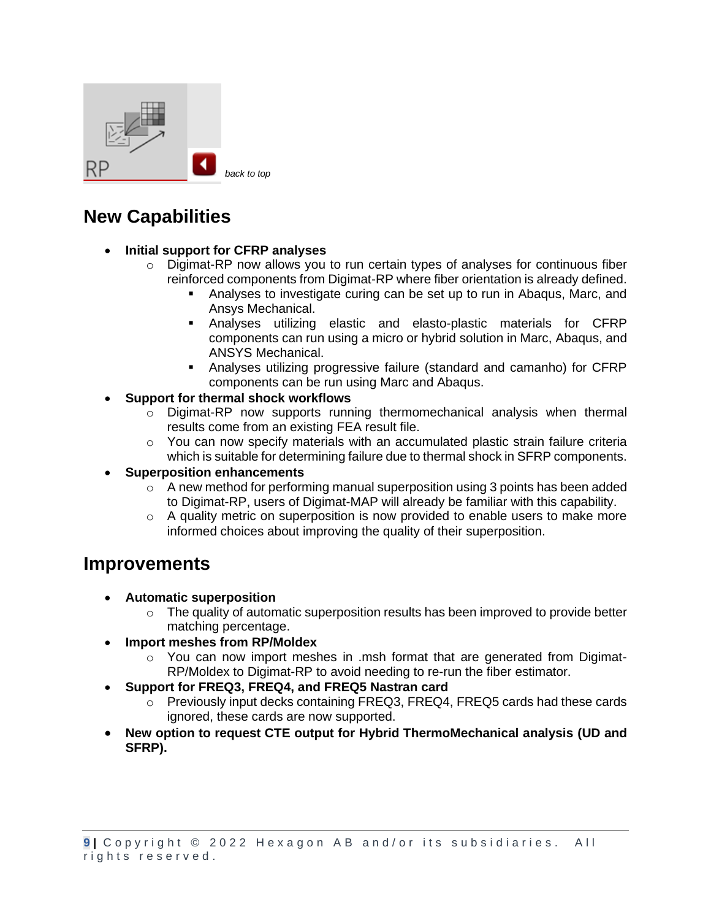<span id="page-8-0"></span>

- **Initial support for CFRP analyses**
	- $\circ$  Digimat-RP now allows you to run certain types of analyses for continuous fiber reinforced components from Digimat-RP where fiber orientation is already defined.
		- Analyses to investigate curing can be set up to run in Abaqus, Marc, and Ansys Mechanical.
		- Analyses utilizing elastic and elasto-plastic materials for CFRP components can run using a micro or hybrid solution in Marc, Abaqus, and ANSYS Mechanical.
		- Analyses utilizing progressive failure (standard and camanho) for CFRP components can be run using Marc and Abaqus.
- **Support for thermal shock workflows**
	- $\circ$  Digimat-RP now supports running thermomechanical analysis when thermal results come from an existing FEA result file.
	- $\circ$  You can now specify materials with an accumulated plastic strain failure criteria which is suitable for determining failure due to thermal shock in SFRP components.
- **Superposition enhancements**
	- o A new method for performing manual superposition using 3 points has been added to Digimat-RP, users of Digimat-MAP will already be familiar with this capability.
	- $\circ$  A quality metric on superposition is now provided to enable users to make more informed choices about improving the quality of their superposition.

- **Automatic superposition**
	- $\circ$  The quality of automatic superposition results has been improved to provide better matching percentage.
	- **Import meshes from RP/Moldex**
		- $\circ$  You can now import meshes in .msh format that are generated from Digimat-RP/Moldex to Digimat-RP to avoid needing to re-run the fiber estimator.
- **Support for FREQ3, FREQ4, and FREQ5 Nastran card**
	- o Previously input decks containing FREQ3, FREQ4, FREQ5 cards had these cards ignored, these cards are now supported.
- **New option to request CTE output for Hybrid ThermoMechanical analysis (UD and SFRP).**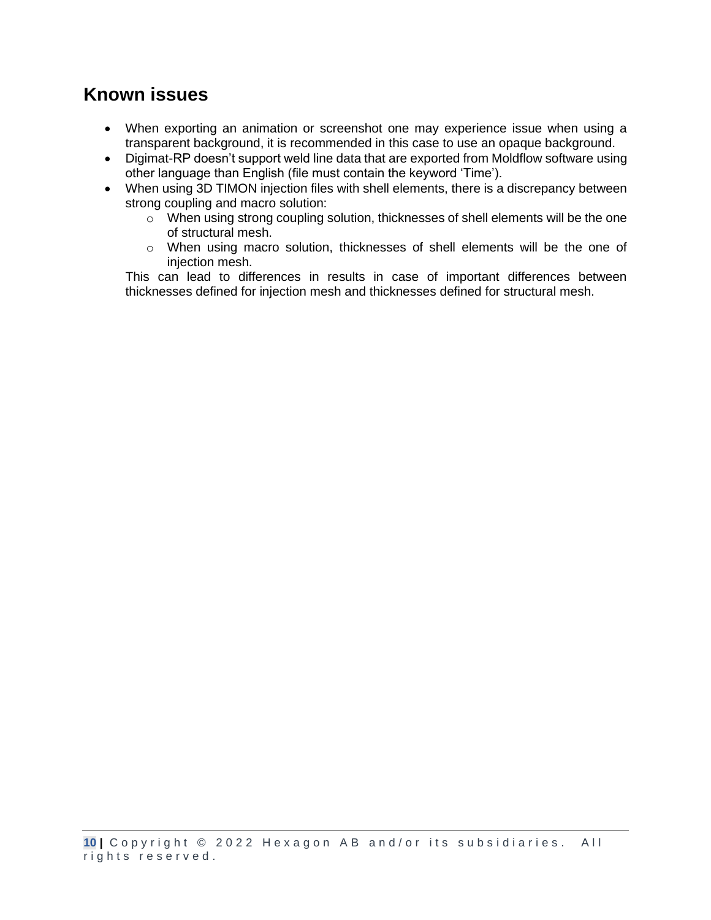# **Known issues**

- When exporting an animation or screenshot one may experience issue when using a transparent background, it is recommended in this case to use an opaque background.
- Digimat-RP doesn't support weld line data that are exported from Moldflow software using other language than English (file must contain the keyword 'Time').
- When using 3D TIMON injection files with shell elements, there is a discrepancy between strong coupling and macro solution:
	- $\circ$  When using strong coupling solution, thicknesses of shell elements will be the one of structural mesh.
	- o When using macro solution, thicknesses of shell elements will be the one of injection mesh.

This can lead to differences in results in case of important differences between thicknesses defined for injection mesh and thicknesses defined for structural mesh.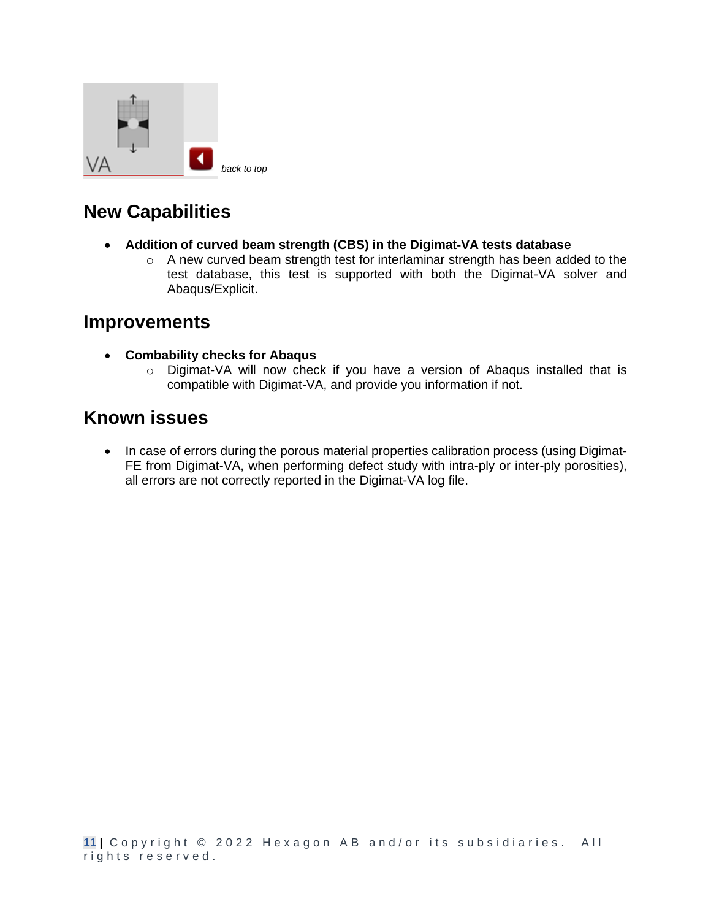<span id="page-10-0"></span>

- **Addition of curved beam strength (CBS) in the Digimat-VA tests database**
	- $\circ$  A new curved beam strength test for interlaminar strength has been added to the test database, this test is supported with both the Digimat-VA solver and Abaqus/Explicit.

#### **Improvements**

- **Combability checks for Abaqus**
	- o Digimat-VA will now check if you have a version of Abaqus installed that is compatible with Digimat-VA, and provide you information if not.

### **Known issues**

• In case of errors during the porous material properties calibration process (using Digimat-FE from Digimat-VA, when performing defect study with intra-ply or inter-ply porosities), all errors are not correctly reported in the Digimat-VA log file.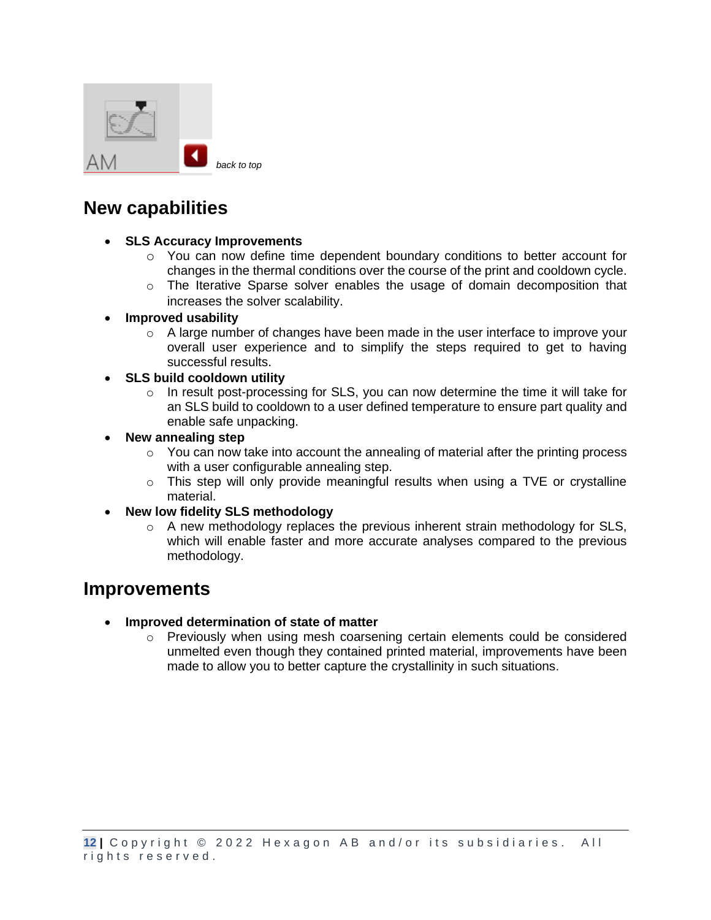<span id="page-11-0"></span>

- **SLS Accuracy Improvements**
	- $\circ$  You can now define time dependent boundary conditions to better account for changes in the thermal conditions over the course of the print and cooldown cycle.
	- $\circ$  The Iterative Sparse solver enables the usage of domain decomposition that increases the solver scalability.
- **Improved usability**
	- $\circ$  A large number of changes have been made in the user interface to improve your overall user experience and to simplify the steps required to get to having successful results.
- **SLS build cooldown utility**
	- $\circ$  In result post-processing for SLS, you can now determine the time it will take for an SLS build to cooldown to a user defined temperature to ensure part quality and enable safe unpacking.
- **New annealing step**
	- o You can now take into account the annealing of material after the printing process with a user configurable annealing step.
	- $\circ$  This step will only provide meaningful results when using a TVE or crystalline material.
- **New low fidelity SLS methodology**
	- $\circ$  A new methodology replaces the previous inherent strain methodology for SLS, which will enable faster and more accurate analyses compared to the previous methodology.

- **Improved determination of state of matter**
	- $\circ$  Previously when using mesh coarsening certain elements could be considered unmelted even though they contained printed material, improvements have been made to allow you to better capture the crystallinity in such situations.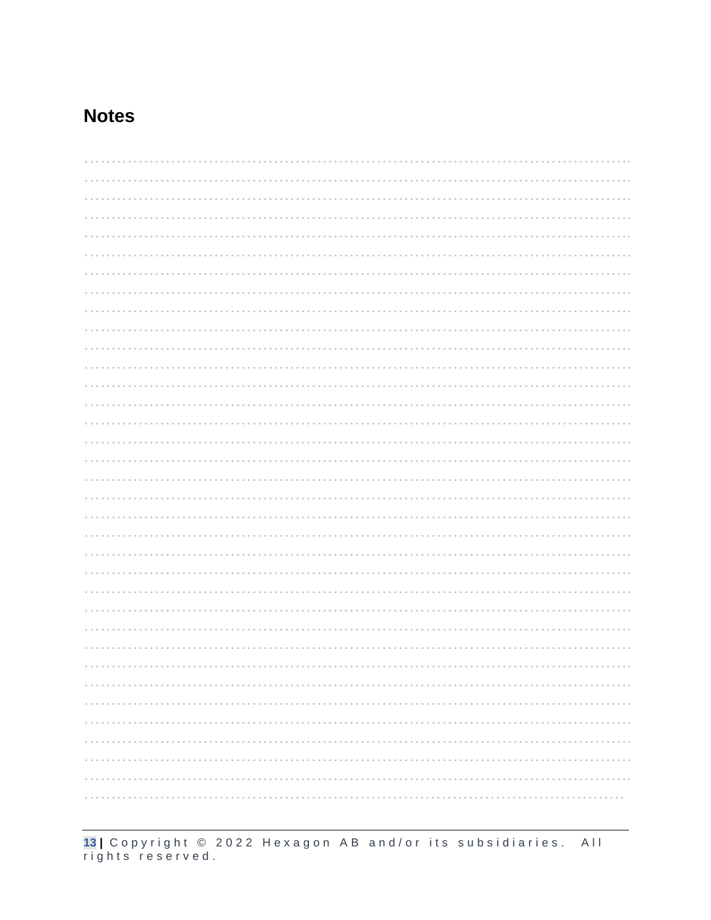### **Notes**

13 | Copyright © 2022 Hexagon AB and/or its subsidiaries. All<br>rights reserved.